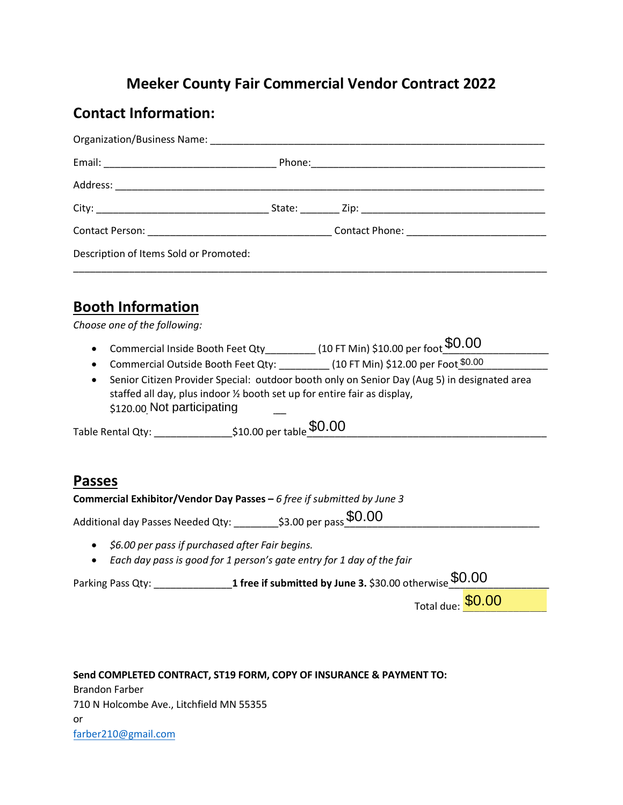# **Meeker County Fair Commercial Vendor Contract 2022**

#### **Contact Information:**

| Description of Items Sold or Promoted: |  |
|----------------------------------------|--|

## **Booth Information**

*Choose one of the following:*

- $\bullet$  Commercial Inside Booth Feet Qty\_\_\_\_\_\_\_\_\_\_ (10 FT Min) \$10.00 per foot  $\overbrace{0.00}^\text{50.00}$
- Commercial Outside Booth Feet Qty: \_\_\_\_\_\_\_\_\_ (10 FT Min) \$12.00 per Foot\_\_\_\_\_\_\_\_\_\_\_\_\_\_\_\_ \$0.00
- Senior Citizen Provider Special: outdoor booth only on Senior Day (Aug 5) in designated area staffed all day, plus indoor ½ booth set up for entire fair as display, \$120.00 Not participating

Table Rental Qty: \_\_\_\_\_\_\_\_\_\_\_\_\_\_\_\_\_\_\_\_\_\_\$10.00 per table  $\$0.00$ 

### **Passes**

**Commercial Exhibitor/Vendor Day Passes –** *6 free if submitted by June 3*

Table Rental Qty: \_\_\_\_\_\_\_\_\_\_\_\_\_\_\_\_\$10.00 per table  $$0.00$ <br>
Passes<br>
Commercial Exhibitor/Vendor Day Passes – 6 *free if submitted by June 3*<br>Additional day Passes Needed Qty: \_\_\_\_\_\_\_\_\$3.00 per pass $$0.00$ 

- *\$6.00 per pass if purchased after Fair begins.*
- *Each day pass is good for 1 person's gate entry for 1 day of the fair*

Parking Pass Qty: \_\_\_\_\_\_\_\_\_\_\_\_\_\_**1 free if submitted by June 3.** \$30.00 otherwise\_\_\_\_\_\_\_\_\_\_\_\_\_\_\_\_\_\_ \$0.00 \$0.00 Not participating

Total due: **\$0.00** 

**Send COMPLETED CONTRACT, ST19 FORM, COPY OF INSURANCE & PAYMENT TO:** [Brandon Farber](mailto:farber210@gmail.com)  710 N Holcombe Ave., Litchfield MN 55355 or farber210@gmail.com